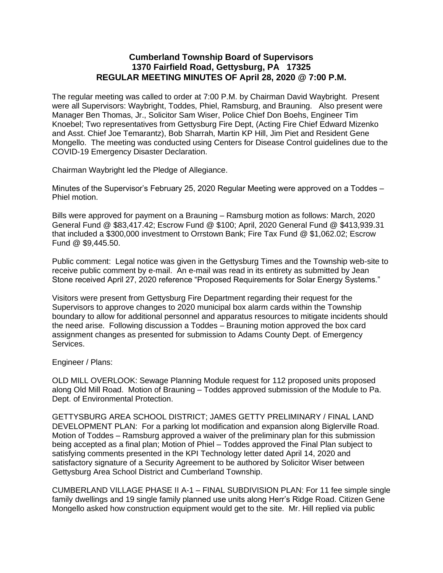## **Cumberland Township Board of Supervisors 1370 Fairfield Road, Gettysburg, PA 17325 REGULAR MEETING MINUTES OF April 28, 2020 @ 7:00 P.M.**

The regular meeting was called to order at 7:00 P.M. by Chairman David Waybright. Present were all Supervisors: Waybright, Toddes, Phiel, Ramsburg, and Brauning. Also present were Manager Ben Thomas, Jr., Solicitor Sam Wiser, Police Chief Don Boehs, Engineer Tim Knoebel; Two representatives from Gettysburg Fire Dept, (Acting Fire Chief Edward Mizenko and Asst. Chief Joe Temarantz), Bob Sharrah, Martin KP Hill, Jim Piet and Resident Gene Mongello. The meeting was conducted using Centers for Disease Control guidelines due to the COVID-19 Emergency Disaster Declaration.

Chairman Waybright led the Pledge of Allegiance.

Minutes of the Supervisor's February 25, 2020 Regular Meeting were approved on a Toddes – Phiel motion.

Bills were approved for payment on a Brauning – Ramsburg motion as follows: March, 2020 General Fund @ \$83,417.42; Escrow Fund @ \$100; April, 2020 General Fund @ \$413,939.31 that included a \$300,000 investment to Orrstown Bank; Fire Tax Fund @ \$1,062.02; Escrow Fund @ \$9,445.50.

Public comment: Legal notice was given in the Gettysburg Times and the Township web-site to receive public comment by e-mail. An e-mail was read in its entirety as submitted by Jean Stone received April 27, 2020 reference "Proposed Requirements for Solar Energy Systems."

Visitors were present from Gettysburg Fire Department regarding their request for the Supervisors to approve changes to 2020 municipal box alarm cards within the Township boundary to allow for additional personnel and apparatus resources to mitigate incidents should the need arise. Following discussion a Toddes – Brauning motion approved the box card assignment changes as presented for submission to Adams County Dept. of Emergency Services.

Engineer / Plans:

OLD MILL OVERLOOK: Sewage Planning Module request for 112 proposed units proposed along Old Mill Road. Motion of Brauning – Toddes approved submission of the Module to Pa. Dept. of Environmental Protection.

GETTYSBURG AREA SCHOOL DISTRICT; JAMES GETTY PRELIMINARY / FINAL LAND DEVELOPMENT PLAN: For a parking lot modification and expansion along Biglerville Road. Motion of Toddes – Ramsburg approved a waiver of the preliminary plan for this submission being accepted as a final plan; Motion of Phiel – Toddes approved the Final Plan subject to satisfying comments presented in the KPI Technology letter dated April 14, 2020 and satisfactory signature of a Security Agreement to be authored by Solicitor Wiser between Gettysburg Area School District and Cumberland Township.

CUMBERLAND VILLAGE PHASE II A-1 – FINAL SUBDIVISION PLAN: For 11 fee simple single family dwellings and 19 single family planned use units along Herr's Ridge Road. Citizen Gene Mongello asked how construction equipment would get to the site. Mr. Hill replied via public